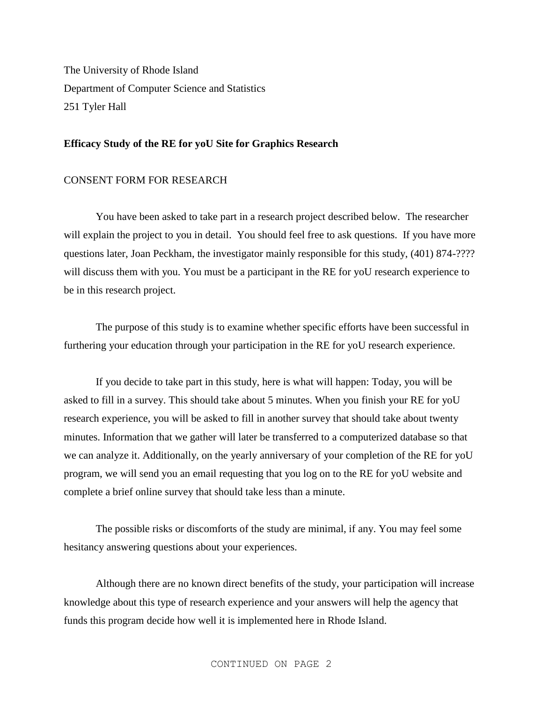The University of Rhode Island Department of Computer Science and Statistics 251 Tyler Hall

## **Efficacy Study of the RE for yoU Site for Graphics Research**

## CONSENT FORM FOR RESEARCH

You have been asked to take part in a research project described below. The researcher will explain the project to you in detail. You should feel free to ask questions. If you have more questions later, Joan Peckham, the investigator mainly responsible for this study, (401) 874-???? will discuss them with you. You must be a participant in the RE for yoU research experience to be in this research project.

The purpose of this study is to examine whether specific efforts have been successful in furthering your education through your participation in the RE for yoU research experience.

If you decide to take part in this study, here is what will happen: Today, you will be asked to fill in a survey. This should take about 5 minutes. When you finish your RE for yoU research experience, you will be asked to fill in another survey that should take about twenty minutes. Information that we gather will later be transferred to a computerized database so that we can analyze it. Additionally, on the yearly anniversary of your completion of the RE for yoU program, we will send you an email requesting that you log on to the RE for yoU website and complete a brief online survey that should take less than a minute.

The possible risks or discomforts of the study are minimal, if any. You may feel some hesitancy answering questions about your experiences.

Although there are no known direct benefits of the study, your participation will increase knowledge about this type of research experience and your answers will help the agency that funds this program decide how well it is implemented here in Rhode Island.